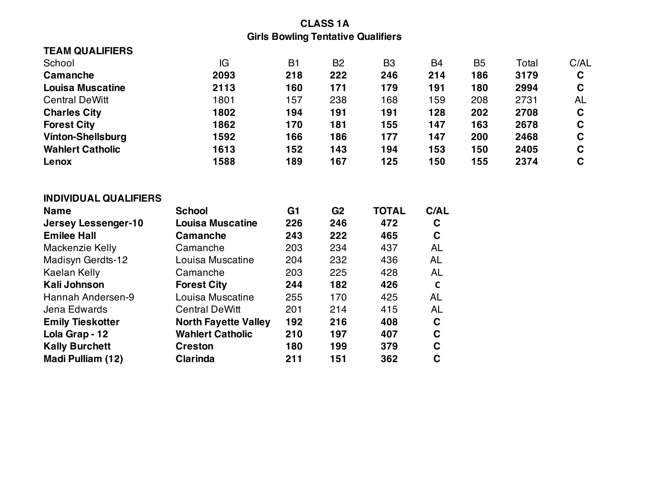## **CLASS 1A Girls Bowling Tentative Qualifiers**

| <b>TEAM QUALIFIERS</b>       |                             |                |                |                |             |                |       |             |
|------------------------------|-----------------------------|----------------|----------------|----------------|-------------|----------------|-------|-------------|
| School                       | IG                          | <b>B1</b>      | B <sub>2</sub> | B <sub>3</sub> | B4          | B <sub>5</sub> | Total | C/AL        |
| Camanche                     | 2093                        | 218            | 222            | 246            | 214         | 186            | 3179  | $\mathbf c$ |
| <b>Louisa Muscatine</b>      | 2113                        | 160            | 171            | 179            | 191         | 180            | 2994  | $\mathbf C$ |
| <b>Central DeWitt</b>        | 1801                        | 157            | 238            | 168            | 159         | 208            | 2731  | AL          |
| <b>Charles City</b>          | 1802                        | 194            | 191            | 191            | 128         | 202            | 2708  | $\mathbf c$ |
| <b>Forest City</b>           | 1862                        | 170            | 181            | 155            | 147         | 163            | 2678  | $\mathbf C$ |
| <b>Vinton-Shellsburg</b>     | 1592                        | 166            | 186            | 177            | 147         | 200            | 2468  | $\mathbf C$ |
| <b>Wahlert Catholic</b>      | 1613                        | 152            | 143            | 194            | 153         | 150            | 2405  | $\mathbf C$ |
| Lenox                        | 1588                        | 189            | 167            | 125            | 150         | 155            | 2374  | $\mathbf C$ |
|                              |                             |                |                |                |             |                |       |             |
| <b>INDIVIDUAL QUALIFIERS</b> |                             |                |                |                |             |                |       |             |
| <b>Name</b>                  | <b>School</b>               | G <sub>1</sub> | G <sub>2</sub> | <b>TOTAL</b>   | C/AL        |                |       |             |
| <b>Jersey Lessenger-10</b>   | <b>Louisa Muscatine</b>     | 226            | 246            | 472            | $\mathbf c$ |                |       |             |
| <b>Emilee Hall</b>           | Camanche                    | 243            | 222            | 465            | $\mathbf C$ |                |       |             |
| Mackenzie Kelly              | Camanche                    | 203            | 234            | 437            | <b>AL</b>   |                |       |             |
| Madisyn Gerdts-12            | Louisa Muscatine            | 204            | 232            | 436            | <b>AL</b>   |                |       |             |
| Kaelan Kelly                 | Camanche                    | 203            | 225            | 428            | <b>AL</b>   |                |       |             |
| <b>Kali Johnson</b>          | <b>Forest City</b>          | 244            | 182            | 426            | $\mathbf c$ |                |       |             |
| Hannah Andersen-9            | Louisa Muscatine            | 255            | 170            | 425            | <b>AL</b>   |                |       |             |
| Jena Edwards                 | <b>Central DeWitt</b>       | 201            | 214            | 415            | <b>AL</b>   |                |       |             |
| <b>Emily Tieskotter</b>      | <b>North Fayette Valley</b> | 192            | 216            | 408            | $\mathbf C$ |                |       |             |
| Lola Grap - 12               | <b>Wahlert Catholic</b>     | 210            | 197            | 407            | $\mathbf C$ |                |       |             |
| <b>Kally Burchett</b>        | <b>Creston</b>              | 180            | 199            | 379            | $\mathbf C$ |                |       |             |
| Madi Pulliam (12)            | Clarinda                    | 211            | 151            | 362            | $\mathbf C$ |                |       |             |